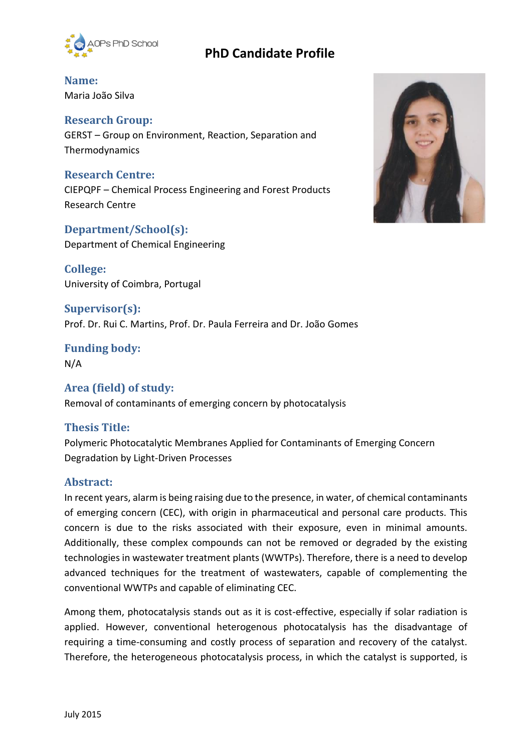

## **PhD Candidate Profile**

**Name:** Maria João Silva

## **Research Group:**

GERST – Group on Environment, Reaction, Separation and Thermodynamics

#### **Research Centre:**

CIEPQPF – Chemical Process Engineering and Forest Products Research Centre

#### **Department/School(s):**

Department of Chemical Engineering

**College:** University of Coimbra, Portugal

**Supervisor(s):** Prof. Dr. Rui C. Martins, Prof. Dr. Paula Ferreira and Dr. João Gomes

**Funding body:** N/A

**Area (field) of study:** Removal of contaminants of emerging concern by photocatalysis

#### **Thesis Title:**

Polymeric Photocatalytic Membranes Applied for Contaminants of Emerging Concern Degradation by Light-Driven Processes

#### **Abstract:**

In recent years, alarm is being raising due to the presence, in water, of chemical contaminants of emerging concern (CEC), with origin in pharmaceutical and personal care products. This concern is due to the risks associated with their exposure, even in minimal amounts. Additionally, these complex compounds can not be removed or degraded by the existing technologies in wastewater treatment plants (WWTPs). Therefore, there is a need to develop advanced techniques for the treatment of wastewaters, capable of complementing the conventional WWTPs and capable of eliminating CEC.

Among them, photocatalysis stands out as it is cost-effective, especially if solar radiation is applied. However, conventional heterogenous photocatalysis has the disadvantage of requiring a time-consuming and costly process of separation and recovery of the catalyst. Therefore, the heterogeneous photocatalysis process, in which the catalyst is supported, is